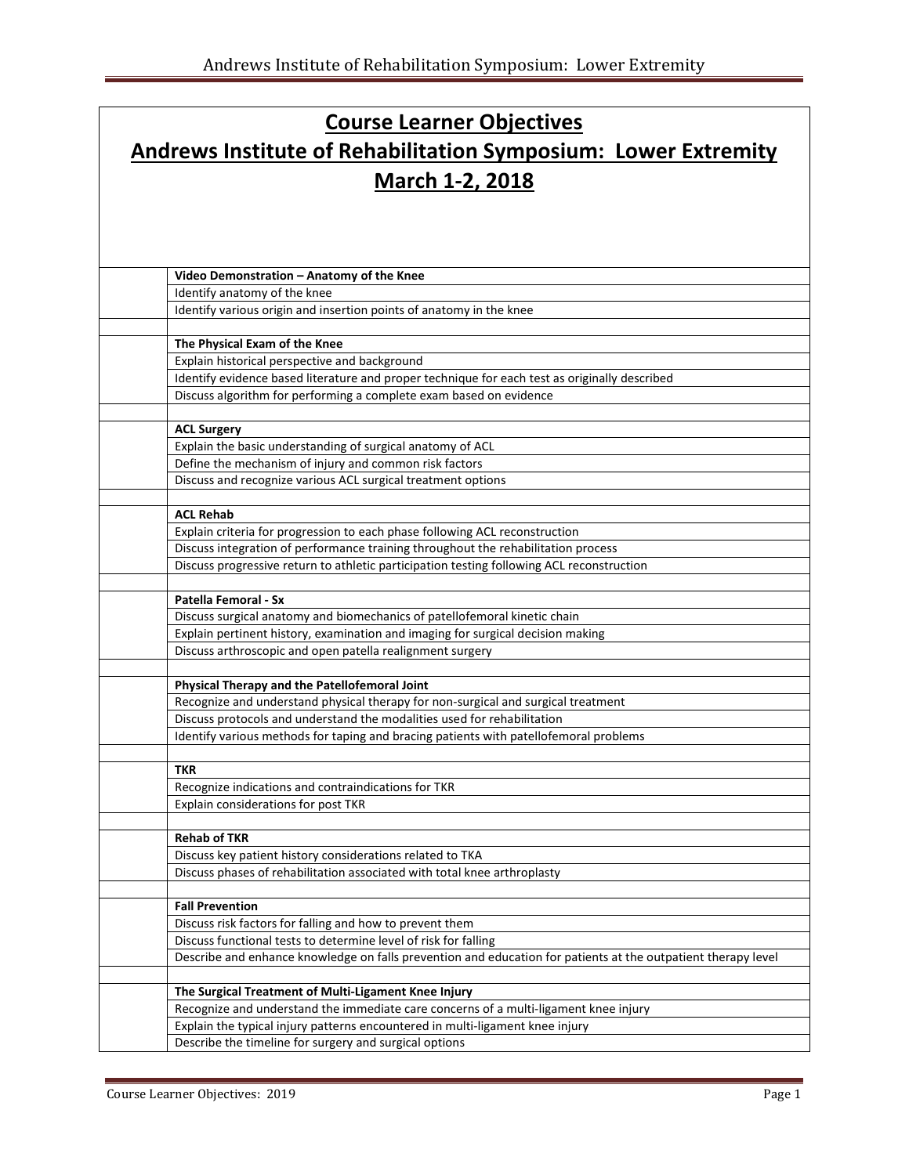## **Course Learner Objectives Andrews Institute of Rehabilitation Symposium: Lower Extremity March 1-2, 2018**

| Video Demonstration - Anatomy of the Knee                                                                                          |
|------------------------------------------------------------------------------------------------------------------------------------|
| Identify anatomy of the knee                                                                                                       |
| Identify various origin and insertion points of anatomy in the knee                                                                |
|                                                                                                                                    |
| The Physical Exam of the Knee                                                                                                      |
| Explain historical perspective and background                                                                                      |
| Identify evidence based literature and proper technique for each test as originally described                                      |
| Discuss algorithm for performing a complete exam based on evidence                                                                 |
| <b>ACL Surgery</b>                                                                                                                 |
| Explain the basic understanding of surgical anatomy of ACL                                                                         |
| Define the mechanism of injury and common risk factors                                                                             |
| Discuss and recognize various ACL surgical treatment options                                                                       |
|                                                                                                                                    |
| <b>ACL Rehab</b>                                                                                                                   |
| Explain criteria for progression to each phase following ACL reconstruction                                                        |
| Discuss integration of performance training throughout the rehabilitation process                                                  |
| Discuss progressive return to athletic participation testing following ACL reconstruction                                          |
| Patella Femoral - Sx                                                                                                               |
| Discuss surgical anatomy and biomechanics of patellofemoral kinetic chain                                                          |
| Explain pertinent history, examination and imaging for surgical decision making                                                    |
| Discuss arthroscopic and open patella realignment surgery                                                                          |
|                                                                                                                                    |
| Physical Therapy and the Patellofemoral Joint<br>Recognize and understand physical therapy for non-surgical and surgical treatment |
| Discuss protocols and understand the modalities used for rehabilitation                                                            |
| Identify various methods for taping and bracing patients with patellofemoral problems                                              |
|                                                                                                                                    |
| <b>TKR</b>                                                                                                                         |
| Recognize indications and contraindications for TKR                                                                                |
| Explain considerations for post TKR                                                                                                |
|                                                                                                                                    |
| <b>Rehab of TKR</b>                                                                                                                |
| Discuss key patient history considerations related to TKA                                                                          |
| Discuss phases of rehabilitation associated with total knee arthroplasty                                                           |
| <b>Fall Prevention</b>                                                                                                             |
| Discuss risk factors for falling and how to prevent them                                                                           |
| Discuss functional tests to determine level of risk for falling                                                                    |
| Describe and enhance knowledge on falls prevention and education for patients at the outpatient therapy level                      |
|                                                                                                                                    |
| The Surgical Treatment of Multi-Ligament Knee Injury                                                                               |
| Recognize and understand the immediate care concerns of a multi-ligament knee injury                                               |
| Explain the typical injury patterns encountered in multi-ligament knee injury                                                      |
| Describe the timeline for surgery and surgical options                                                                             |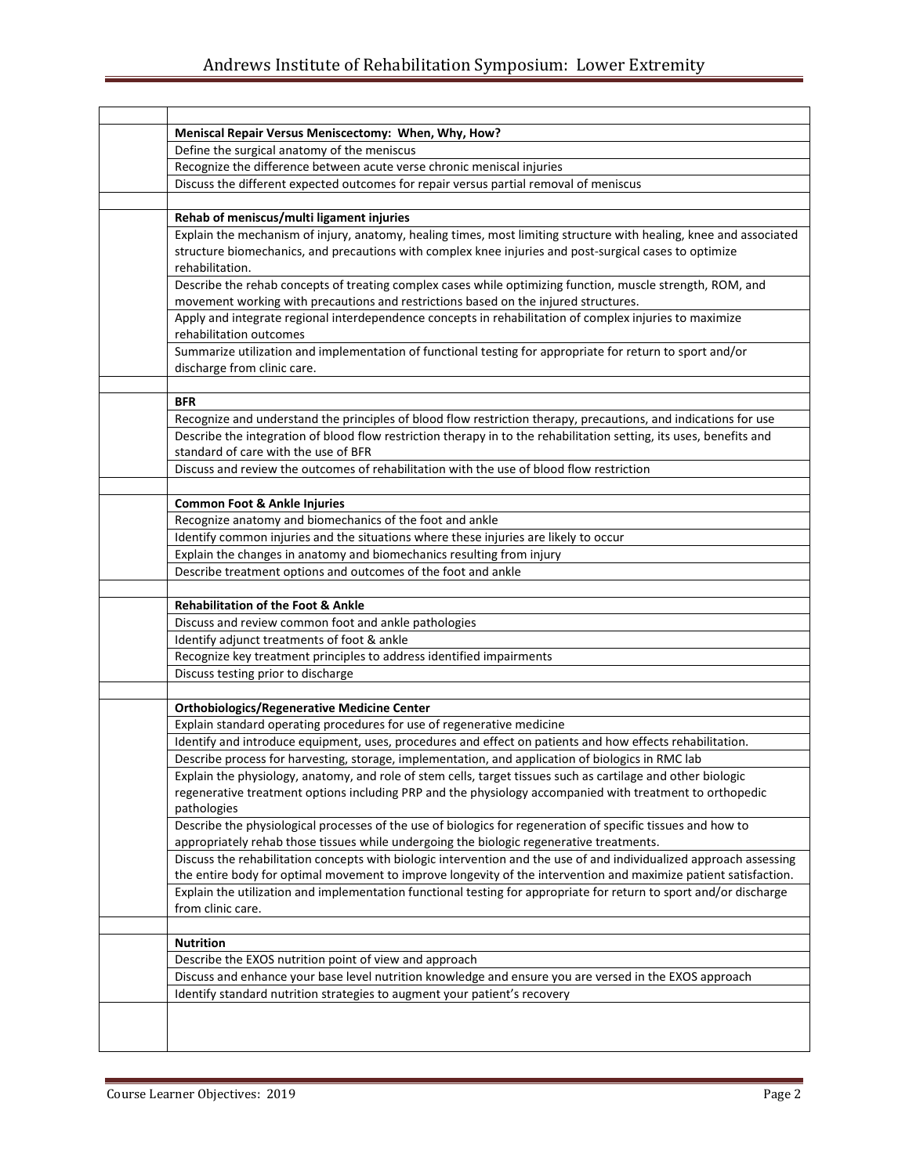| Meniscal Repair Versus Meniscectomy: When, Why, How?                                                                                                                                                                                                                                                                                                                                                                    |
|-------------------------------------------------------------------------------------------------------------------------------------------------------------------------------------------------------------------------------------------------------------------------------------------------------------------------------------------------------------------------------------------------------------------------|
| Define the surgical anatomy of the meniscus                                                                                                                                                                                                                                                                                                                                                                             |
| Recognize the difference between acute verse chronic meniscal injuries                                                                                                                                                                                                                                                                                                                                                  |
| Discuss the different expected outcomes for repair versus partial removal of meniscus                                                                                                                                                                                                                                                                                                                                   |
| Rehab of meniscus/multi ligament injuries                                                                                                                                                                                                                                                                                                                                                                               |
| Explain the mechanism of injury, anatomy, healing times, most limiting structure with healing, knee and associated<br>structure biomechanics, and precautions with complex knee injuries and post-surgical cases to optimize<br>rehabilitation.                                                                                                                                                                         |
| Describe the rehab concepts of treating complex cases while optimizing function, muscle strength, ROM, and<br>movement working with precautions and restrictions based on the injured structures.                                                                                                                                                                                                                       |
| Apply and integrate regional interdependence concepts in rehabilitation of complex injuries to maximize<br>rehabilitation outcomes                                                                                                                                                                                                                                                                                      |
| Summarize utilization and implementation of functional testing for appropriate for return to sport and/or<br>discharge from clinic care.                                                                                                                                                                                                                                                                                |
|                                                                                                                                                                                                                                                                                                                                                                                                                         |
| <b>BFR</b>                                                                                                                                                                                                                                                                                                                                                                                                              |
| Recognize and understand the principles of blood flow restriction therapy, precautions, and indications for use                                                                                                                                                                                                                                                                                                         |
| Describe the integration of blood flow restriction therapy in to the rehabilitation setting, its uses, benefits and<br>standard of care with the use of BFR                                                                                                                                                                                                                                                             |
| Discuss and review the outcomes of rehabilitation with the use of blood flow restriction                                                                                                                                                                                                                                                                                                                                |
| <b>Common Foot &amp; Ankle Injuries</b>                                                                                                                                                                                                                                                                                                                                                                                 |
| Recognize anatomy and biomechanics of the foot and ankle                                                                                                                                                                                                                                                                                                                                                                |
| Identify common injuries and the situations where these injuries are likely to occur                                                                                                                                                                                                                                                                                                                                    |
| Explain the changes in anatomy and biomechanics resulting from injury                                                                                                                                                                                                                                                                                                                                                   |
| Describe treatment options and outcomes of the foot and ankle                                                                                                                                                                                                                                                                                                                                                           |
| <b>Rehabilitation of the Foot &amp; Ankle</b>                                                                                                                                                                                                                                                                                                                                                                           |
|                                                                                                                                                                                                                                                                                                                                                                                                                         |
|                                                                                                                                                                                                                                                                                                                                                                                                                         |
| Discuss and review common foot and ankle pathologies                                                                                                                                                                                                                                                                                                                                                                    |
| Identify adjunct treatments of foot & ankle                                                                                                                                                                                                                                                                                                                                                                             |
| Recognize key treatment principles to address identified impairments<br>Discuss testing prior to discharge                                                                                                                                                                                                                                                                                                              |
|                                                                                                                                                                                                                                                                                                                                                                                                                         |
| <b>Orthobiologics/Regenerative Medicine Center</b>                                                                                                                                                                                                                                                                                                                                                                      |
| Explain standard operating procedures for use of regenerative medicine                                                                                                                                                                                                                                                                                                                                                  |
| Identify and introduce equipment, uses, procedures and effect on patients and how effects rehabilitation.                                                                                                                                                                                                                                                                                                               |
| Describe process for harvesting, storage, implementation, and application of biologics in RMC lab                                                                                                                                                                                                                                                                                                                       |
| Explain the physiology, anatomy, and role of stem cells, target tissues such as cartilage and other biologic                                                                                                                                                                                                                                                                                                            |
| regenerative treatment options including PRP and the physiology accompanied with treatment to orthopedic                                                                                                                                                                                                                                                                                                                |
| pathologies                                                                                                                                                                                                                                                                                                                                                                                                             |
| Describe the physiological processes of the use of biologics for regeneration of specific tissues and how to                                                                                                                                                                                                                                                                                                            |
| appropriately rehab those tissues while undergoing the biologic regenerative treatments.                                                                                                                                                                                                                                                                                                                                |
|                                                                                                                                                                                                                                                                                                                                                                                                                         |
|                                                                                                                                                                                                                                                                                                                                                                                                                         |
| from clinic care.                                                                                                                                                                                                                                                                                                                                                                                                       |
|                                                                                                                                                                                                                                                                                                                                                                                                                         |
| <b>Nutrition</b>                                                                                                                                                                                                                                                                                                                                                                                                        |
| Discuss the rehabilitation concepts with biologic intervention and the use of and individualized approach assessing<br>the entire body for optimal movement to improve longevity of the intervention and maximize patient satisfaction.<br>Explain the utilization and implementation functional testing for appropriate for return to sport and/or discharge<br>Describe the EXOS nutrition point of view and approach |
| Discuss and enhance your base level nutrition knowledge and ensure you are versed in the EXOS approach<br>Identify standard nutrition strategies to augment your patient's recovery                                                                                                                                                                                                                                     |